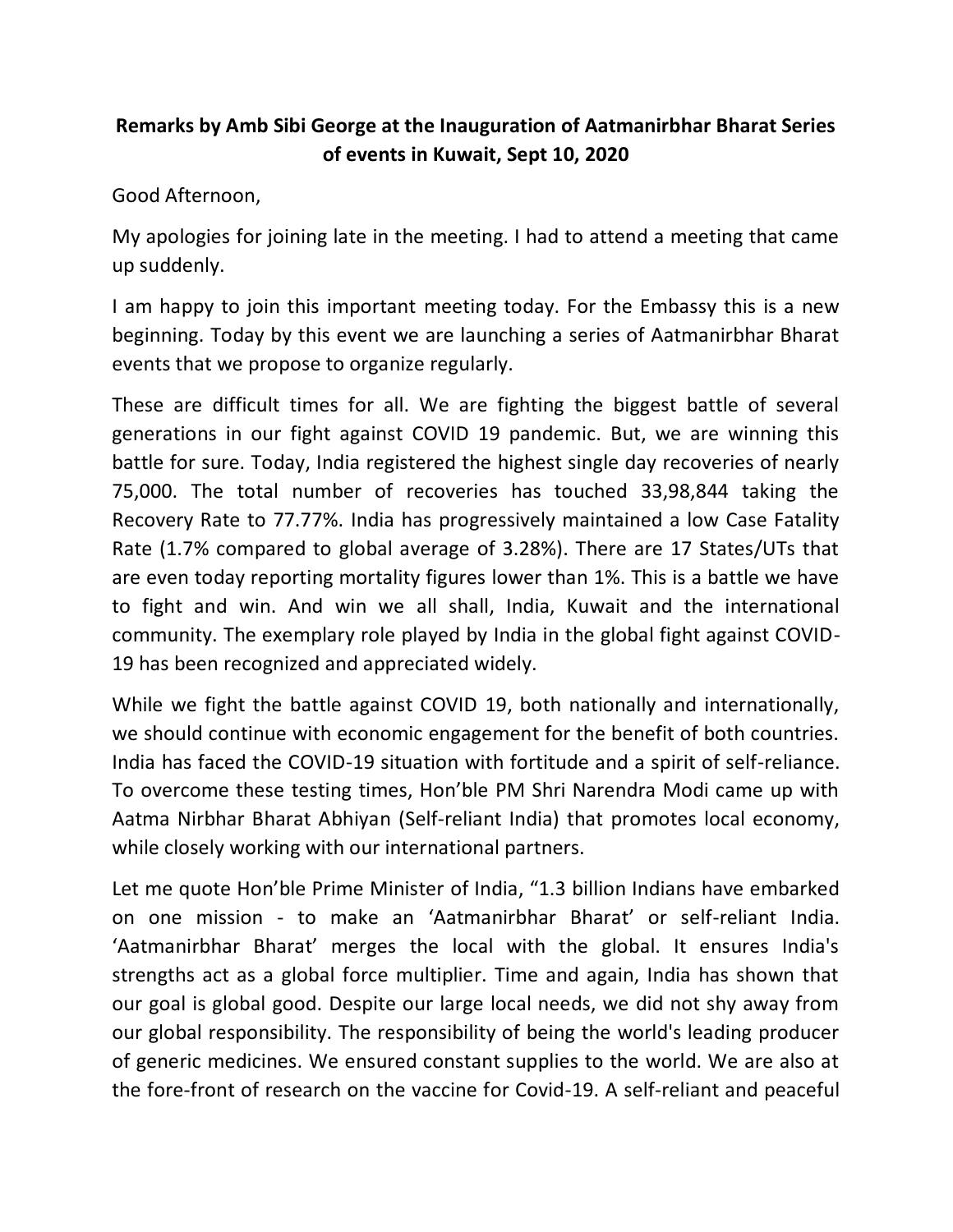## **Remarks by Amb Sibi George at the Inauguration of Aatmanirbhar Bharat Series of events in Kuwait, Sept 10, 2020**

Good Afternoon,

My apologies for joining late in the meeting. I had to attend a meeting that came up suddenly.

I am happy to join this important meeting today. For the Embassy this is a new beginning. Today by this event we are launching a series of Aatmanirbhar Bharat events that we propose to organize regularly.

These are difficult times for all. We are fighting the biggest battle of several generations in our fight against COVID 19 pandemic. But, we are winning this battle for sure. Today, India registered the highest single day recoveries of nearly 75,000. The total number of recoveries has touched 33,98,844 taking the Recovery Rate to 77.77%. India has progressively maintained a low Case Fatality Rate (1.7% compared to global average of 3.28%). There are 17 States/UTs that are even today reporting mortality figures lower than 1%. This is a battle we have to fight and win. And win we all shall, India, Kuwait and the international community. The exemplary role played by India in the global fight against COVID-19 has been recognized and appreciated widely.

While we fight the battle against COVID 19, both nationally and internationally, we should continue with economic engagement for the benefit of both countries. India has faced the COVID-19 situation with fortitude and a spirit of self-reliance. To overcome these testing times, Hon'ble PM Shri Narendra Modi came up with Aatma Nirbhar Bharat Abhiyan (Self-reliant India) that promotes local economy, while closely working with our international partners.

Let me quote Hon'ble Prime Minister of India, "1.3 billion Indians have embarked on one mission - to make an 'Aatmanirbhar Bharat' or self-reliant India. 'Aatmanirbhar Bharat' merges the local with the global. It ensures India's strengths act as a global force multiplier. Time and again, India has shown that our goal is global good. Despite our large local needs, we did not shy away from our global responsibility. The responsibility of being the world's leading producer of generic medicines. We ensured constant supplies to the world. We are also at the fore-front of research on the vaccine for Covid-19. A self-reliant and peaceful